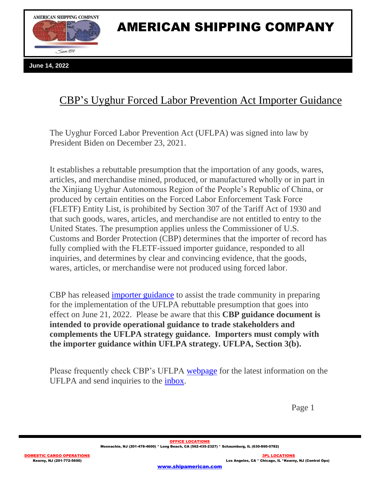

## AMERICAN SHIPPING COMPANY

**June 14, 2022**

## CBP's Uyghur Forced Labor Prevention Act Importer Guidance

The Uyghur Forced Labor Prevention Act (UFLPA) was signed into law by President Biden on December 23, 2021.

It establishes a rebuttable presumption that the importation of any goods, wares, articles, and merchandise mined, produced, or manufactured wholly or in part in the Xinjiang Uyghur Autonomous Region of the People's Republic of China, or produced by certain entities on the Forced Labor Enforcement Task Force (FLETF) Entity List, is prohibited by Section 307 of the Tariff Act of 1930 and that such goods, wares, articles, and merchandise are not entitled to entry to the United States. The presumption applies unless the Commissioner of U.S. Customs and Border Protection (CBP) determines that the importer of record has fully complied with the FLETF-issued importer guidance, responded to all inquiries, and determines by clear and convincing evidence, that the goods, wares, articles, or merchandise were not produced using forced labor.

CBP has released [importer guidance](https://www.cbp.gov/document/guidance/uflpa-operational-guidance-importers) to assist the trade community in preparing for the implementation of the UFLPA rebuttable presumption that goes into effect on June 21, 2022. Please be aware that this **CBP guidance document is intended to provide operational guidance to trade stakeholders and complements the UFLPA strategy guidance. Importers must comply with the importer guidance within UFLPA strategy. UFLPA, Section 3(b).**

Please frequently check CBP's UFLPA [webpage](https://www.cbp.gov/trade/forced-labor/UFLPA) for the latest information on the UFLPA and send inquiries to the [inbox.](mailto:UFLPAInquiry@cbp.dhs.gov)

Page 1